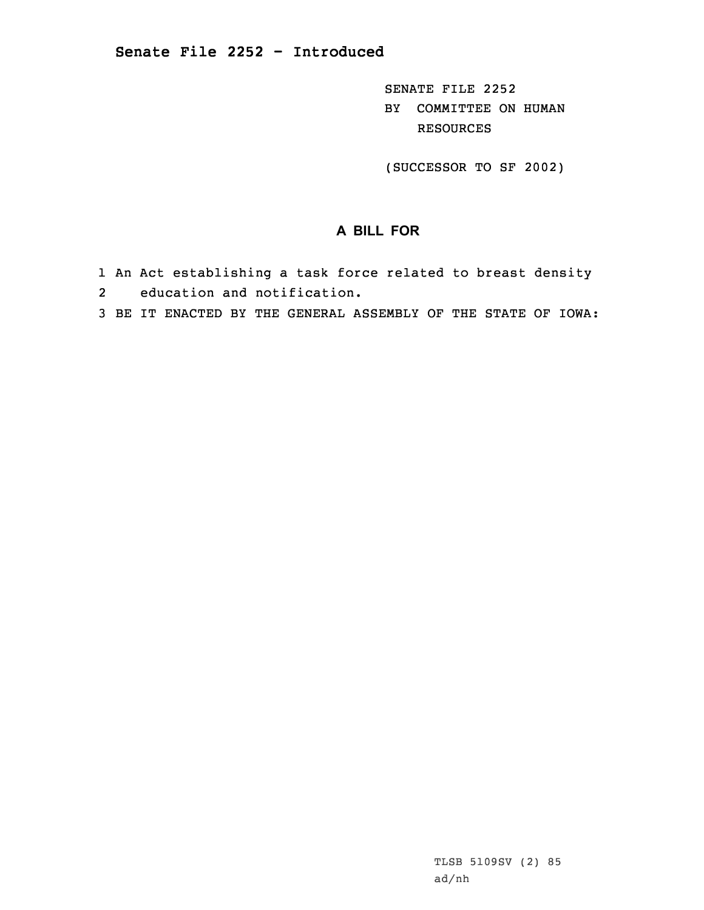SENATE FILE 2252 BY COMMITTEE ON HUMAN RESOURCES

(SUCCESSOR TO SF 2002)

## **A BILL FOR**

- 1 An Act establishing <sup>a</sup> task force related to breast density
- 2 education and notification.
- 3 BE IT ENACTED BY THE GENERAL ASSEMBLY OF THE STATE OF IOWA: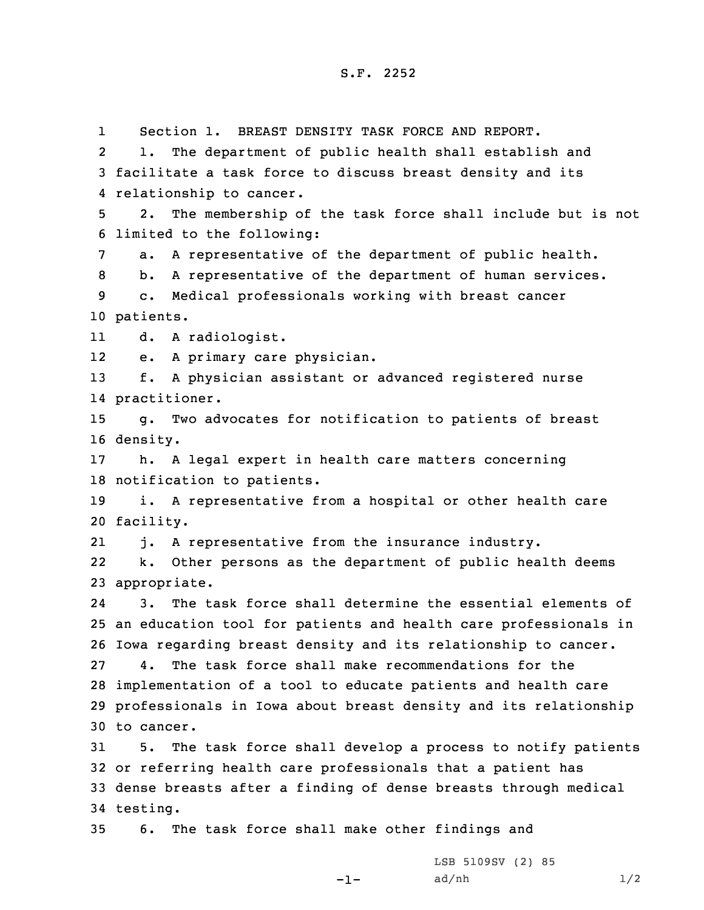1 Section 1. BREAST DENSITY TASK FORCE AND REPORT. 2 1. The department of public health shall establish and facilitate <sup>a</sup> task force to discuss breast density and its relationship to cancer. 2. The membership of the task force shall include but is not limited to the following: a. <sup>A</sup> representative of the department of public health. b. <sup>A</sup> representative of the department of human services. c. Medical professionals working with breast cancer patients. 11 d. <sup>A</sup> radiologist. 12 e. <sup>A</sup> primary care physician. f. <sup>A</sup> physician assistant or advanced registered nurse practitioner. g. Two advocates for notification to patients of breast 16 density. h. <sup>A</sup> legal expert in health care matters concerning notification to patients. i. <sup>A</sup> representative from <sup>a</sup> hospital or other health care facility. 21 j. <sup>A</sup> representative from the insurance industry. 22 k. Other persons as the department of public health deems appropriate. 24 3. The task force shall determine the essential elements of an education tool for patients and health care professionals in Iowa regarding breast density and its relationship to cancer. 4. The task force shall make recommendations for the implementation of <sup>a</sup> tool to educate patients and health care professionals in Iowa about breast density and its relationship to cancer. 5. The task force shall develop <sup>a</sup> process to notify patients or referring health care professionals that <sup>a</sup> patient has dense breasts after <sup>a</sup> finding of dense breasts through medical 34 testing.

35 6. The task force shall make other findings and

-1-

LSB 5109SV (2) 85  $ad/nh$   $1/2$